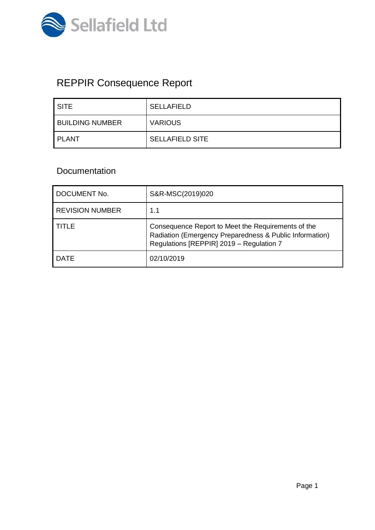

# REPPIR Consequence Report

| ' SITE                 | <b>SELLAFIELD</b>      |
|------------------------|------------------------|
| <b>BUILDING NUMBER</b> | <b>VARIOUS</b>         |
| I PLANT                | <b>SELLAFIELD SITE</b> |

# Documentation

| DOCUMENT No.           | S&R-MSC(2019)020                                                                                                                                          |
|------------------------|-----------------------------------------------------------------------------------------------------------------------------------------------------------|
| <b>REVISION NUMBER</b> | 1.1                                                                                                                                                       |
| TITLE                  | Consequence Report to Meet the Requirements of the<br>Radiation (Emergency Preparedness & Public Information)<br>Regulations [REPPIR] 2019 - Regulation 7 |
| <b>DATE</b>            | 02/10/2019                                                                                                                                                |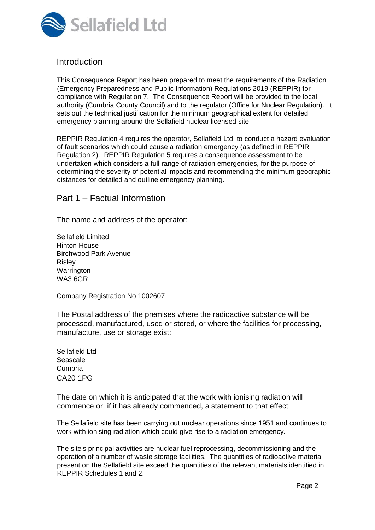

## **Introduction**

This Consequence Report has been prepared to meet the requirements of the Radiation (Emergency Preparedness and Public Information) Regulations 2019 (REPPIR) for compliance with Regulation 7. The Consequence Report will be provided to the local authority (Cumbria County Council) and to the regulator (Office for Nuclear Regulation). It sets out the technical justification for the minimum geographical extent for detailed emergency planning around the Sellafield nuclear licensed site.

REPPIR Regulation 4 requires the operator, Sellafield Ltd, to conduct a hazard evaluation of fault scenarios which could cause a radiation emergency (as defined in REPPIR Regulation 2). REPPIR Regulation 5 requires a consequence assessment to be undertaken which considers a full range of radiation emergencies, for the purpose of determining the severity of potential impacts and recommending the minimum geographic distances for detailed and outline emergency planning.

#### Part 1 – Factual Information

The name and address of the operator:

Sellafield Limited Hinton House Birchwood Park Avenue Risley **Warrington** WA3 6GR

Company Registration No 1002607

The Postal address of the premises where the radioactive substance will be processed, manufactured, used or stored, or where the facilities for processing, manufacture, use or storage exist:

Sellafield Ltd Seascale Cumbria CA20 1PG

The date on which it is anticipated that the work with ionising radiation will commence or, if it has already commenced, a statement to that effect:

The Sellafield site has been carrying out nuclear operations since 1951 and continues to work with ionising radiation which could give rise to a radiation emergency.

The site's principal activities are nuclear fuel reprocessing, decommissioning and the operation of a number of waste storage facilities. The quantities of radioactive material present on the Sellafield site exceed the quantities of the relevant materials identified in REPPIR Schedules 1 and 2.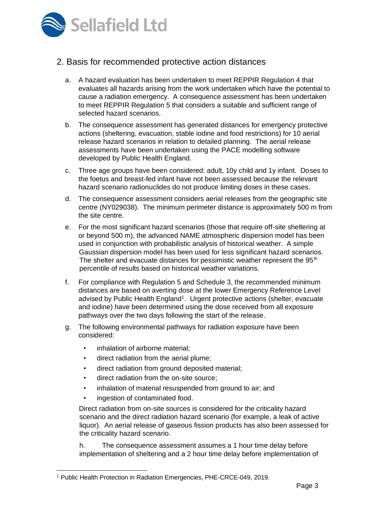

## 2. Basis for recommended protective action distances

- a. A hazard evaluation has been undertaken to meet REPPIR Regulation 4 that evaluates all hazards arising from the work undertaken which have the potential to cause a radiation emergency. A consequence assessment has been undertaken to meet REPPIR Regulation 5 that considers a suitable and sufficient range of selected hazard scenarios.
- b. The consequence assessment has generated distances for emergency protective actions (sheltering, evacuation, stable iodine and food restrictions) for 10 aerial release hazard scenarios in relation to detailed planning. The aerial release assessments have been undertaken using the PACE modelling software developed by Public Health England.
- c. Three age groups have been considered: adult, 10y child and 1y infant. Doses to the foetus and breast-fed infant have not been assessed because the relevant hazard scenario radionuclides do not produce limiting doses in these cases.
- d. The consequence assessment considers aerial releases from the geographic site centre (NY029038). The minimum perimeter distance is approximately 500 m from the site centre.
- e. For the most significant hazard scenarios (those that require off-site sheltering at or beyond 500 m), the advanced NAME atmospheric dispersion model has been used in conjunction with probabilistic analysis of historical weather. A simple Gaussian dispersion model has been used for less significant hazard scenarios. The shelter and evacuate distances for pessimistic weather represent the 95<sup>th</sup> percentile of results based on historical weather variations.
- f. For compliance with Regulation 5 and Schedule 3, the recommended minimum distances are based on averting dose at the lower Emergency Reference Level advised by Public Health England<sup>1</sup>. Urgent protective actions (shelter, evacuate and iodine) have been determined using the dose received from all exposure pathways over the two days following the start of the release.
- g. The following environmental pathways for radiation exposure have been considered:
	- inhalation of airborne material:
	- direct radiation from the aerial plume;
	- direct radiation from ground deposited material;
	- direct radiation from the on-site source;
	- inhalation of material resuspended from ground to air; and
	- ingestion of contaminated food.

Direct radiation from on-site sources is considered for the criticality hazard scenario and the direct radiation hazard scenario (for example, a leak of active liquor). An aerial release of gaseous fission products has also been assessed for the criticality hazard scenario.

h. The consequence assessment assumes a 1 hour time delay before implementation of sheltering and a 2 hour time delay before implementation of

<sup>1</sup> Public Health Protection in Radiation Emergencies, PHE-CRCE-049, 2019.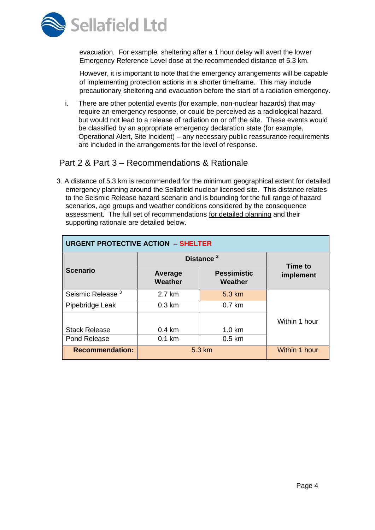

evacuation. For example, sheltering after a 1 hour delay will avert the lower Emergency Reference Level dose at the recommended distance of 5.3 km.

However, it is important to note that the emergency arrangements will be capable of implementing protection actions in a shorter timeframe. This may include precautionary sheltering and evacuation before the start of a radiation emergency.

i. There are other potential events (for example, non-nuclear hazards) that may require an emergency response, or could be perceived as a radiological hazard, but would not lead to a release of radiation on or off the site. These events would be classified by an appropriate emergency declaration state (for example, Operational Alert, Site Incident) – any necessary public reassurance requirements are included in the arrangements for the level of response.

# Part 2 & Part 3 – Recommendations & Rationale

3. A distance of 5.3 km is recommended for the minimum geographical extent for detailed emergency planning around the Sellafield nuclear licensed site. This distance relates to the Seismic Release hazard scenario and is bounding for the full range of hazard scenarios, age groups and weather conditions considered by the consequence assessment. The full set of recommendations for detailed planning and their supporting rationale are detailed below.

| <b>URGENT PROTECTIVE ACTION - SHELTER</b> |                       |                      |                      |
|-------------------------------------------|-----------------------|----------------------|----------------------|
|                                           | Distance <sup>2</sup> |                      |                      |
| <b>Scenario</b>                           | Average<br>Weather    | Time to<br>implement |                      |
| Seismic Release <sup>3</sup>              | 2.7 km                | 5.3 km               |                      |
| Pipebridge Leak                           | $0.3 \text{ km}$      | $0.7$ km             |                      |
|                                           |                       |                      | Within 1 hour        |
| <b>Stack Release</b>                      | $0.4 \text{ km}$      | $1.0 \text{ km}$     |                      |
| Pond Release                              | $0.1$ km              | $0.5 \text{ km}$     |                      |
| <b>Recommendation:</b>                    | 5.3 km                |                      | <b>Within 1 hour</b> |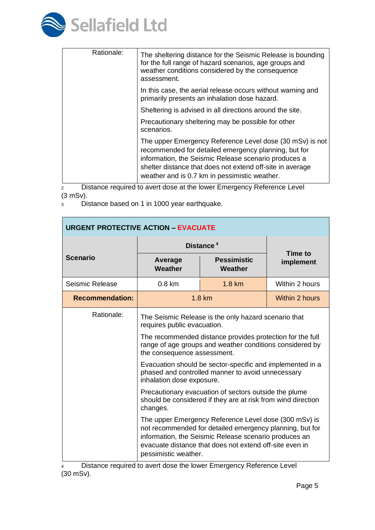

| Rationale: | The sheltering distance for the Seismic Release is bounding<br>for the full range of hazard scenarios, age groups and<br>weather conditions considered by the consequence<br>assessment.                                                                                               |
|------------|----------------------------------------------------------------------------------------------------------------------------------------------------------------------------------------------------------------------------------------------------------------------------------------|
|            | In this case, the aerial release occurs without warning and<br>primarily presents an inhalation dose hazard.                                                                                                                                                                           |
|            | Sheltering is advised in all directions around the site.                                                                                                                                                                                                                               |
|            | Precautionary sheltering may be possible for other<br>scenarios.                                                                                                                                                                                                                       |
|            | The upper Emergency Reference Level dose (30 mSv) is not<br>recommended for detailed emergency planning, but for<br>information, the Seismic Release scenario produces a<br>shelter distance that does not extend off-site in average<br>weather and is 0.7 km in pessimistic weather. |

2 Distance required to avert dose at the lower Emergency Reference Level (3 mSv).

<sup>3</sup> Distance based on 1 in 1000 year earthquake.

| <b>URGENT PROTECTIVE ACTION - EVACUATE</b> |                                                                                                                                                                                                                                                               |                               |                      |
|--------------------------------------------|---------------------------------------------------------------------------------------------------------------------------------------------------------------------------------------------------------------------------------------------------------------|-------------------------------|----------------------|
|                                            | Distance <sup>4</sup>                                                                                                                                                                                                                                         |                               |                      |
| <b>Scenario</b>                            | Average<br><b>Weather</b>                                                                                                                                                                                                                                     | <b>Pessimistic</b><br>Weather | Time to<br>implement |
| Seismic Release                            | $0.8 \text{ km}$                                                                                                                                                                                                                                              | 1.8 km                        | Within 2 hours       |
| <b>Recommendation:</b>                     |                                                                                                                                                                                                                                                               | $1.8 \text{ km}$              | Within 2 hours       |
| Rationale:                                 | The Seismic Release is the only hazard scenario that<br>requires public evacuation.                                                                                                                                                                           |                               |                      |
|                                            | The recommended distance provides protection for the full<br>range of age groups and weather conditions considered by<br>the consequence assessment.                                                                                                          |                               |                      |
|                                            | Evacuation should be sector-specific and implemented in a<br>phased and controlled manner to avoid unnecessary<br>inhalation dose exposure.                                                                                                                   |                               |                      |
|                                            | Precautionary evacuation of sectors outside the plume<br>should be considered if they are at risk from wind direction<br>changes.                                                                                                                             |                               |                      |
|                                            | The upper Emergency Reference Level dose (300 mSv) is<br>not recommended for detailed emergency planning, but for<br>information, the Seismic Release scenario produces an<br>evacuate distance that does not extend off-site even in<br>pessimistic weather. |                               |                      |

<sup>4</sup> Distance required to avert dose the lower Emergency Reference Level (30 mSv).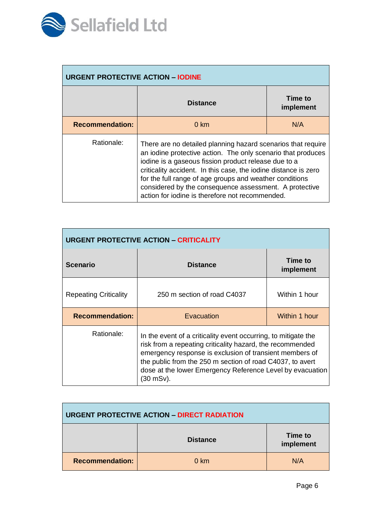

| <b>URGENT PROTECTIVE ACTION - IODINE</b> |                                                                                                                                                                                                                                                                                                                                                                                                                                 |  |  |
|------------------------------------------|---------------------------------------------------------------------------------------------------------------------------------------------------------------------------------------------------------------------------------------------------------------------------------------------------------------------------------------------------------------------------------------------------------------------------------|--|--|
|                                          | Time to<br><b>Distance</b><br>implement                                                                                                                                                                                                                                                                                                                                                                                         |  |  |
| <b>Recommendation:</b>                   | N/A<br>$0 \; \text{km}$                                                                                                                                                                                                                                                                                                                                                                                                         |  |  |
| Rationale:                               | There are no detailed planning hazard scenarios that require<br>an iodine protective action. The only scenario that produces<br>iodine is a gaseous fission product release due to a<br>criticality accident. In this case, the iodine distance is zero<br>for the full range of age groups and weather conditions<br>considered by the consequence assessment. A protective<br>action for jodine is therefore not recommended. |  |  |

| <b>URGENT PROTECTIVE ACTION - CRITICALITY</b> |                                                                                                                                                                                                                                                                                                                               |               |  |
|-----------------------------------------------|-------------------------------------------------------------------------------------------------------------------------------------------------------------------------------------------------------------------------------------------------------------------------------------------------------------------------------|---------------|--|
| <b>Scenario</b>                               | Time to<br><b>Distance</b><br>implement                                                                                                                                                                                                                                                                                       |               |  |
| <b>Repeating Criticality</b>                  | 250 m section of road C4037                                                                                                                                                                                                                                                                                                   | Within 1 hour |  |
| <b>Recommendation:</b>                        | Within 1 hour<br>Evacuation                                                                                                                                                                                                                                                                                                   |               |  |
| Rationale:                                    | In the event of a criticality event occurring, to mitigate the<br>risk from a repeating criticality hazard, the recommended<br>emergency response is exclusion of transient members of<br>the public from the 250 m section of road C4037, to avert<br>dose at the lower Emergency Reference Level by evacuation<br>(30 mSv). |               |  |

| <b>URGENT PROTECTIVE ACTION - DIRECT RADIATION</b> |                 |                      |
|----------------------------------------------------|-----------------|----------------------|
|                                                    | <b>Distance</b> | Time to<br>implement |
| <b>Recommendation:</b>                             | $0 \text{ km}$  | N/A                  |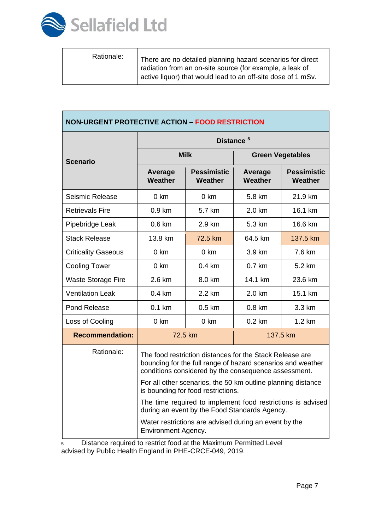

Τ

| Rationale:<br>There are no detailed planning hazard scenarios for direct<br>radiation from an on-site source (for example, a leak of<br>active liquor) that would lead to an off-site dose of 1 mSv. |  |  |
|------------------------------------------------------------------------------------------------------------------------------------------------------------------------------------------------------|--|--|
|------------------------------------------------------------------------------------------------------------------------------------------------------------------------------------------------------|--|--|

| <b>NON-URGENT PROTECTIVE ACTION - FOOD RESTRICTION</b> |                                                                                                                                                                                 |                        |                           |                               |
|--------------------------------------------------------|---------------------------------------------------------------------------------------------------------------------------------------------------------------------------------|------------------------|---------------------------|-------------------------------|
|                                                        | Distance <sup>5</sup>                                                                                                                                                           |                        |                           |                               |
| <b>Scenario</b>                                        | <b>Milk</b>                                                                                                                                                                     |                        | <b>Green Vegetables</b>   |                               |
|                                                        | Average<br>Weather                                                                                                                                                              | Pessimistic<br>Weather | Average<br><b>Weather</b> | <b>Pessimistic</b><br>Weather |
| Seismic Release                                        | $0 \text{ km}$                                                                                                                                                                  | $0 \text{ km}$         | 5.8 km                    | 21.9 km                       |
| <b>Retrievals Fire</b>                                 | 0.9 km                                                                                                                                                                          | 5.7 km                 | 2.0 km                    | 16.1 km                       |
| Pipebridge Leak                                        | 0.6 km                                                                                                                                                                          | $2.9 \text{ km}$       | 5.3 km                    | 16.6 km                       |
| <b>Stack Release</b>                                   | 13.8 km                                                                                                                                                                         | 72.5 km                | 64.5 km                   | 137.5 km                      |
| <b>Criticality Gaseous</b>                             | $0 \text{ km}$                                                                                                                                                                  | $0 \text{ km}$         | 3.9 km                    | 7.6 km                        |
| <b>Cooling Tower</b>                                   | 0 km                                                                                                                                                                            | $0.4 \text{ km}$       | 0.7 km                    | 5.2 km                        |
| <b>Waste Storage Fire</b>                              | 2.6 km                                                                                                                                                                          | 8.0 km                 | 14.1 km                   | 23.6 km                       |
| <b>Ventilation Leak</b>                                | $0.4 \text{ km}$                                                                                                                                                                | 2.2 km                 | 2.0 km                    | 15.1 km                       |
| Pond Release                                           | $0.1$ km                                                                                                                                                                        | $0.5 \text{ km}$       | $0.8 \text{ km}$          | 3.3 km                        |
| Loss of Cooling                                        | 0 km                                                                                                                                                                            | $0 \text{ km}$         | $0.2 \text{ km}$          | 1.2 km                        |
| <b>Recommendation:</b>                                 | 137.5 km<br>72.5 km                                                                                                                                                             |                        |                           |                               |
| Rationale:                                             | The food restriction distances for the Stack Release are<br>bounding for the full range of hazard scenarios and weather<br>conditions considered by the consequence assessment. |                        |                           |                               |
|                                                        | For all other scenarios, the 50 km outline planning distance<br>is bounding for food restrictions.                                                                              |                        |                           |                               |
|                                                        | The time required to implement food restrictions is advised<br>during an event by the Food Standards Agency.                                                                    |                        |                           |                               |
|                                                        | Water restrictions are advised during an event by the<br>Environment Agency.                                                                                                    |                        |                           |                               |

<sup>5</sup> Distance required to restrict food at the Maximum Permitted Level advised by Public Health England in PHE-CRCE-049, 2019.